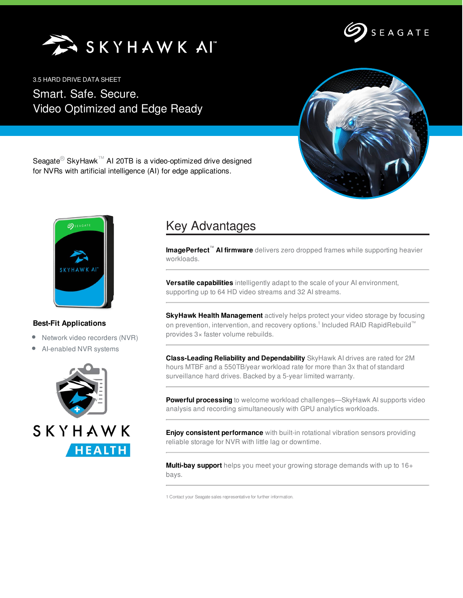SKYHAWK AI



3.5 HARD DRIVE DATA SHEET

Smart. Safe. Secure. Video Optimized and Edge Ready



Seagate<sup>®</sup> SkyHawk<sup>™</sup> AI 20TB is a video-optimized drive designed for NVRs with artificial intelligence (AI) for edge applications.



## **Best-Fit Applications**

- Network video recorders (NVR)
- AI-enabled NVR systems



## Key Advantages

**ImagePerfect™ AI firmware** delivers zero dropped frames while supporting heavier workloads.

**Versatile capabilities** intelligently adapt to the scale of your AI environment, supporting up to 64 HD video streams and 32 AI streams.

**SkyHawk Health Management** actively helps protect your video storage by focusing on prevention, intervention, and recovery options.<sup>1</sup> Included RAID RapidRebuild™ provides 3× faster volume rebuilds.

**Class-Leading Reliability and Dependability** SkyHawk AI drives are rated for 2M hours MTBF and a 550TB/year workload rate for more than 3x that of standard surveillance hard drives. Backed by a 5-year limited warranty.

**Powerful processing** to welcome workload challenges—SkyHawk AI supports video analysis and recording simultaneously with GPU analytics workloads.

**Enjoy consistent performance** with built-in rotational vibration sensors providing reliable storage for NVR with little lag or downtime.

**Multi-bay support** helps you meet your growing storage demands with up to 16+ bays.

1 Contact your Seagate sales representative for further information.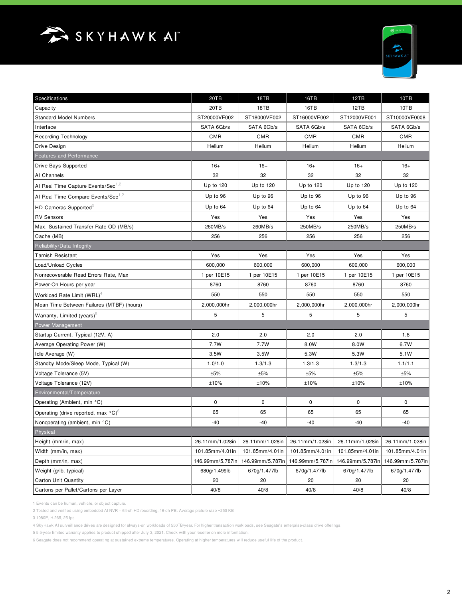



| Specifications                                            | 20TB             | 18TB             | 16TB             | 12TB             | 10TB             |
|-----------------------------------------------------------|------------------|------------------|------------------|------------------|------------------|
| Capacity                                                  | 20TB             | 18TB             | 16TB             | 12TB             | 10TB             |
| <b>Standard Model Numbers</b>                             | ST20000VE002     | ST18000VE002     | ST16000VE002     | ST12000VE001     | ST10000VE0008    |
| Interface                                                 | SATA 6Gb/s       | SATA 6Gb/s       | SATA 6Gb/s       | SATA 6Gb/s       | SATA 6Gb/s       |
| Recording Technology                                      | <b>CMR</b>       | <b>CMR</b>       | <b>CMR</b>       | <b>CMR</b>       | <b>CMR</b>       |
| Drive Design                                              | Helium           | Helium           | Helium           | Helium           | Helium           |
| <b>Features and Performance</b>                           |                  |                  |                  |                  |                  |
| Drive Bays Supported                                      | $16+$            | $16+$            | $16+$            | $16+$            | $16+$            |
| Al Channels                                               | 32               | 32               | 32               | 32               | 32               |
| Al Real Time Capture Events/Sec <sup>1,2</sup>            | Up to 120        | Up to 120        | Up to 120        | Up to 120        | Up to 120        |
| Al Real Time Compare Events/Sec <sup>1,2</sup>            | Up to 96         | Up to 96         | Up to 96         | Up to 96         | Up to 96         |
| HD Cameras Supported <sup>3</sup>                         | Up to 64         | Up to 64         | Up to 64         | Up to 64         | Up to 64         |
| <b>RV Sensors</b>                                         | Yes              | Yes              | Yes              | Yes              | Yes              |
| Max. Sustained Transfer Rate OD (MB/s)                    | 260MB/s          | 260MB/s          | 250MB/s          | 250MB/s          | 250MB/s          |
| Cache (MB)                                                | 256              | 256              | 256              | 256              | 256              |
| Reliability/Data Integrity                                |                  |                  |                  |                  |                  |
| <b>Tarnish Resistant</b>                                  | Yes              | Yes              | Yes              | Yes              | Yes              |
| Load/Unload Cycles                                        | 600,000          | 600,000          | 600,000          | 600,000          | 600,000          |
| Nonrecoverable Read Errors Rate, Max                      | 1 per 10E15      | 1 per 10E15      | 1 per 10E15      | 1 per 10E15      | 1 per 10E15      |
| Power-On Hours per year                                   | 8760             | 8760             | 8760             | 8760             | 8760             |
| Workload Rate Limit (WRL) <sup>4</sup>                    | 550              | 550              | 550              | 550              | 550              |
| Mean Time Between Failures (MTBF) (hours)                 | 2,000,000hr      | 2,000,000hr      | 2,000,000hr      | 2,000,000hr      | 2,000,000hr      |
| Warranty, Limited (years) <sup>5</sup>                    | 5                | 5                | 5                | 5                | 5                |
| Power Management                                          |                  |                  |                  |                  |                  |
| Startup Current, Typical (12V, A)                         | 2.0              | 2.0              | 2.0              | 2.0              | 1.8              |
| Average Operating Power (W)                               | 7.7W             | 7.7W             | 8.0W             | 8.0W             | 6.7W             |
| Idle Average (W)                                          | 3.5W             | 3.5W             | 5.3W             | 5.3W             | 5.1W             |
| Standby Mode/Sleep Mode, Typical (W)                      | 1.0/1.0          | 1.3/1.3          | 1.3/1.3          | 1.3/1.3          | 1.1/1.1          |
| Voltage Tolerance (5V)                                    | ±5%              | ±5%              | ±5%              | ±5%              | ±5%              |
| Voltage Tolerance (12V)                                   | ±10%             | ±10%             | ±10%             | ±10%             | ±10%             |
| Environmental/Temperature                                 |                  |                  |                  |                  |                  |
| Operating (Ambient, min °C)                               | 0                | 0                | 0                | 0                | 0                |
| Operating (drive reported, max $^{\circ}$ C) <sup>6</sup> | 65               | 65               | 65               | 65               | 65               |
| Nonoperating (ambient, min °C)                            | $-40$            | -40              | $-40$            | $-40$            | -40              |
| Physical                                                  |                  |                  |                  |                  |                  |
| Height (mm/in, max)                                       | 26.11mm/1.028in  | 26.11mm/1.028in  | 26.11mm/1.028in  | 26.11mm/1.028in  | 26.11mm/1.028in  |
| Width (mm/in, max)                                        | 101.85mm/4.01in  | 101.85mm/4.01in  | 101.85mm/4.01in  | 101.85mm/4.01in  | 101.85mm/4.01in  |
| Depth (mm/in, max)                                        | 146.99mm/5.787in | 146.99mm/5.787in | 146.99mm/5.787in | 146.99mm/5.787in | 146.99mm/5.787in |
| Weight (g/lb, typical)                                    | 680g/1.499lb     | 670g/1.477lb     | 670g/1.477lb     | 670g/1.477lb     | 670g/1.477lb     |
| Carton Unit Quantity                                      | 20               | 20               | 20               | 20               | 20               |
| Cartons per Pallet/Cartons per Layer                      | 40/8             | 40/8             | 40/8             | 40/8             | 40/8             |

1 Events can be human, vehicle, or object capture.

2 Tested and verified using embedded AI NVR – 64-ch HD recording, 16-ch PB. Average picture size ~250 KB

3 1080P, H.265, 25 fps

4 SkyHawk AI surveillance drives are designed for always-on workloads of 550TB/year. For higher transaction workloads, see Seagate's enterprise-class drive offerings.

5 5 5-year limited warranty applies to product shipped after July 3, 2021. Check with your reseller on more information.

6 Seagate does not recommend operating at sustained extreme temperatures. Operating at higher temperatures will reduce useful life of the product.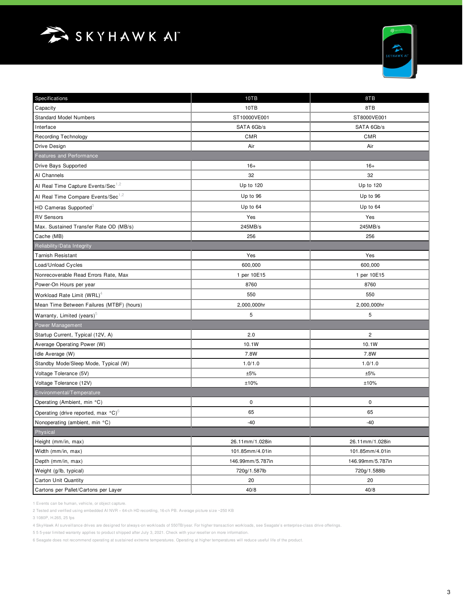



| Specifications                                  | 10TB             | 8TB                     |  |
|-------------------------------------------------|------------------|-------------------------|--|
| Capacity                                        | 10TB             | 8TB                     |  |
| <b>Standard Model Numbers</b>                   | ST10000VE001     | ST8000VE001             |  |
| Interface                                       | SATA 6Gb/s       | SATA 6Gb/s              |  |
| <b>Recording Technology</b>                     | <b>CMR</b>       | <b>CMR</b>              |  |
| Drive Design                                    | Air              | Air                     |  |
| <b>Features and Performance</b>                 |                  |                         |  |
| Drive Bays Supported                            | $16+$            | $16+$                   |  |
| Al Channels                                     | 32               | 32                      |  |
| Al Real Time Capture Events/Sec <sup>1,2</sup>  | Up to 120        | Up to 120               |  |
| Al Real Time Compare Events/Sec <sup>1,2</sup>  | Up to 96         | Up to 96                |  |
| HD Cameras Supported <sup>3</sup>               | Up to 64         | Up to 64                |  |
| <b>RV Sensors</b>                               | Yes              | Yes                     |  |
| Max. Sustained Transfer Rate OD (MB/s)          | 245MB/s          | 245MB/s                 |  |
| Cache (MB)                                      | 256              | 256                     |  |
| Reliability/Data Integrity                      |                  |                         |  |
| <b>Tarnish Resistant</b>                        | Yes              | Yes                     |  |
| Load/Unload Cycles                              | 600,000          | 600,000                 |  |
| Nonrecoverable Read Errors Rate, Max            | 1 per 10E15      | 1 per 10E15             |  |
| Power-On Hours per year                         | 8760             | 8760                    |  |
| Workload Rate Limit (WRL) <sup>4</sup>          | 550              | 550                     |  |
| Mean Time Between Failures (MTBF) (hours)       | 2,000,000hr      | 2,000,000hr             |  |
| Warranty, Limited (years) <sup>5</sup>          | 5                | 5                       |  |
| Power Management                                |                  |                         |  |
| Startup Current, Typical (12V, A)               | 2.0              | $\overline{\mathbf{c}}$ |  |
| Average Operating Power (W)                     | 10.1W            | 10.1W                   |  |
| Idle Average (W)                                | 7.8W             | 7.8W                    |  |
| Standby Mode/Sleep Mode, Typical (W)            | 1.0/1.0          | 1.0/1.0                 |  |
| Voltage Tolerance (5V)                          | ±5%              | ±5%                     |  |
| Voltage Tolerance (12V)                         | ±10%             | ±10%                    |  |
| Environmental/Temperature                       |                  |                         |  |
| Operating (Ambient, min °C)                     | $\pmb{0}$        | $\mathbf 0$             |  |
| Operating (drive reported, max °C) <sup>6</sup> | 65               | 65                      |  |
| Nonoperating (ambient, min °C)                  | -40              | $-40$                   |  |
| Physical                                        |                  |                         |  |
| Height (mm/in, max)                             | 26.11mm/1.028in  | 26.11mm/1.028in         |  |
| Width (mm/in, max)                              | 101.85mm/4.01in  | 101.85mm/4.01in         |  |
| Depth (mm/in, max)                              | 146.99mm/5.787in | 146.99mm/5.787in        |  |
| Weight (g/lb, typical)                          | 720g/1.587lb     | 720g/1.588lb            |  |
| <b>Carton Unit Quantity</b>                     | 20               | 20                      |  |
| Cartons per Pallet/Cartons per Layer            | 40/8             | 40/8                    |  |

1 Events can be human, vehicle, or object capture.

2 Tested and verified using embedded AI NVR – 64-ch HD recording, 16-ch PB. Average picture size ~250 KB

3 1080P, H.265, 25 fps

4 SkyHawk AI surveillance drives are designed for always-on workloads of 550TB/year. For higher transaction workloads, see Seagate's enterprise-class drive offerings.

5 5 5-year limited warranty applies to product shipped after July 3, 2021. Check with your reseller on more information.

6 Seagate does not recommend operating at sustained extreme temperatures. Operating at higher temperatures will reduce useful life of the product.